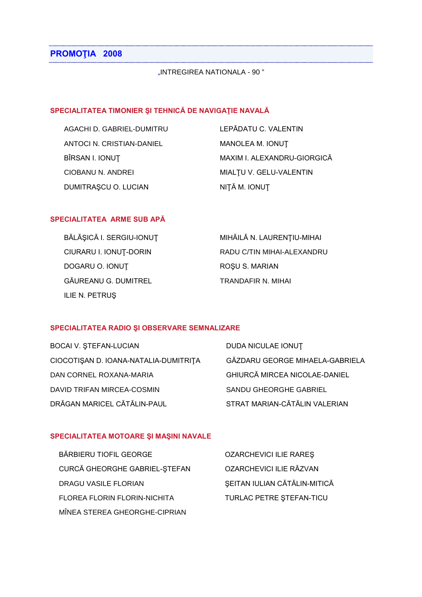# **PROMOŢIA 2008**

"INTREGIREA NATIONALA - 90 "

### **SPECIALITATEA TIMONIER ŞI TEHNICĂ DE NAVIGAŢIE NAVALĂ**

| AGACHI D. GABRIEL-DUMITRU | LEPĂDATU C. VALENTIN        |
|---------------------------|-----------------------------|
| ANTOCI N. CRISTIAN-DANIEL | MANOLEA M. IONUT            |
| BÎRSAN I. IONUT           | MAXIM I. ALEXANDRU-GIORGICĂ |
| CIOBANU N. ANDREI         | MIALTU V. GELU-VALENTIN     |
| DUMITRAȘCU O. LUCIAN      | NIȚĂ M. IONUȚ               |

#### **SPECIALITATEA ARME SUB APĂ**

| BĂLĂȘICĂ I. SERGIU-IONUȚ | MIHĂILĂ N. LAURENȚIU-MIHAI |
|--------------------------|----------------------------|
| CIURARU I. IONUȚ-DORIN   | RADU C/TIN MIHAI-ALEXANDRU |
| DOGARU O. IONUT          | ROȘU S. MARIAN             |
| GĂUREANU G. DUMITREL     | TRANDAFIR N. MIHAI         |
| ILIE N. PETRUȘ           |                            |

#### **SPECIALITATEA RADIO ŞI OBSERVARE SEMNALIZARE**

| <b>BOCAI V. ȘTEFAN-LUCIAN</b>         | DUDA NICULAE IONUT                   |
|---------------------------------------|--------------------------------------|
| CIOCOTIȘAN D. IOANA-NATALIA-DUMITRIȚA | GĂZDARU GEORGE MIHAELA-GABRIELA      |
| DAN CORNEL ROXANA-MARIA               | <b>GHIURCĂ MIRCEA NICOLAE-DANIEL</b> |
| DAVID TRIFAN MIRCEA-COSMIN            | SANDU GHEORGHE GABRIEL               |
| DRĂGAN MARICEL CĂTĂLIN-PAUL           | STRAT MARIAN-CĂTĂLIN VALERIAN        |

#### **SPECIALITATEA MOTOARE ŞI MAŞINI NAVALE**

| BĂRBIERU TIOFIL GEORGE        | <b>OZARCHEVICI ILIE RARES</b> |
|-------------------------------|-------------------------------|
| CURCĂ GHEORGHE GABRIEL-ȘTEFAN | OZARCHEVICI ILIE RĂZVAN       |
| DRAGU VASILE FLORIAN          | SEITAN IULIAN CĂTĂLIN-MITICĂ  |
| FLOREA FLORIN FLORIN-NICHITA  | TURLAC PETRE STEFAN-TICU      |
| MÎNEA STEREA GHEORGHE-CIPRIAN |                               |